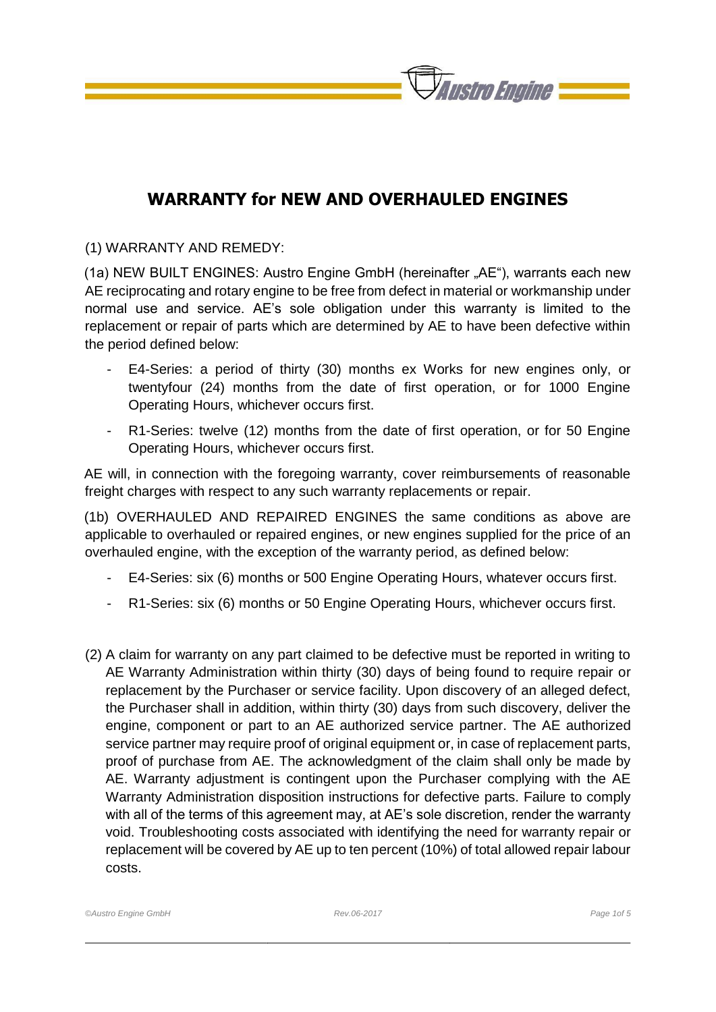

## **WARRANTY for NEW AND OVERHAULED ENGINES**

(1) WARRANTY AND REMEDY:

(1a) NEW BUILT ENGINES: Austro Engine GmbH (hereinafter "AE"), warrants each new AE reciprocating and rotary engine to be free from defect in material or workmanship under normal use and service. AE's sole obligation under this warranty is limited to the replacement or repair of parts which are determined by AE to have been defective within the period defined below:

- E4-Series: a period of thirty (30) months ex Works for new engines only, or twentyfour (24) months from the date of first operation, or for 1000 Engine Operating Hours, whichever occurs first.
- R1-Series: twelve (12) months from the date of first operation, or for 50 Engine Operating Hours, whichever occurs first.

AE will, in connection with the foregoing warranty, cover reimbursements of reasonable freight charges with respect to any such warranty replacements or repair.

(1b) OVERHAULED AND REPAIRED ENGINES the same conditions as above are applicable to overhauled or repaired engines, or new engines supplied for the price of an overhauled engine, with the exception of the warranty period, as defined below:

- E4-Series: six (6) months or 500 Engine Operating Hours, whatever occurs first.
- R1-Series: six (6) months or 50 Engine Operating Hours, whichever occurs first.
- (2) A claim for warranty on any part claimed to be defective must be reported in writing to AE Warranty Administration within thirty (30) days of being found to require repair or replacement by the Purchaser or service facility. Upon discovery of an alleged defect, the Purchaser shall in addition, within thirty (30) days from such discovery, deliver the engine, component or part to an AE authorized service partner. The AE authorized service partner may require proof of original equipment or, in case of replacement parts, proof of purchase from AE. The acknowledgment of the claim shall only be made by AE. Warranty adjustment is contingent upon the Purchaser complying with the AE Warranty Administration disposition instructions for defective parts. Failure to comply with all of the terms of this agreement may, at AE's sole discretion, render the warranty void. Troubleshooting costs associated with identifying the need for warranty repair or replacement will be covered by AE up to ten percent (10%) of total allowed repair labour costs.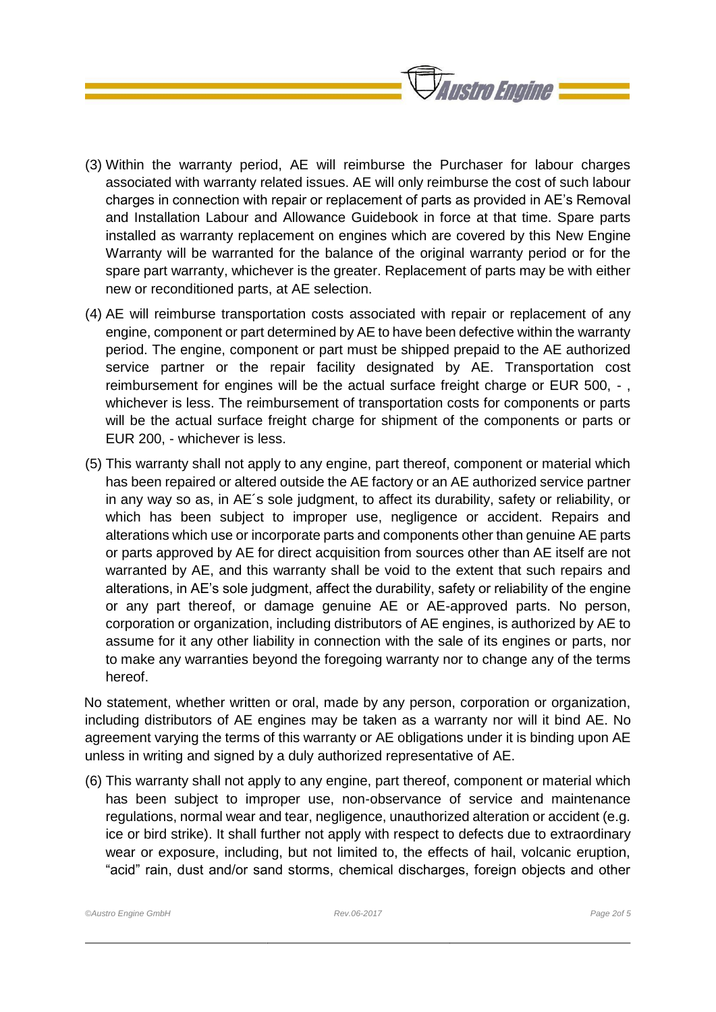

- (3) Within the warranty period, AE will reimburse the Purchaser for labour charges associated with warranty related issues. AE will only reimburse the cost of such labour charges in connection with repair or replacement of parts as provided in AE's Removal and Installation Labour and Allowance Guidebook in force at that time. Spare parts installed as warranty replacement on engines which are covered by this New Engine Warranty will be warranted for the balance of the original warranty period or for the spare part warranty, whichever is the greater. Replacement of parts may be with either new or reconditioned parts, at AE selection.
- (4) AE will reimburse transportation costs associated with repair or replacement of any engine, component or part determined by AE to have been defective within the warranty period. The engine, component or part must be shipped prepaid to the AE authorized service partner or the repair facility designated by AE. Transportation cost reimbursement for engines will be the actual surface freight charge or EUR 500, - , whichever is less. The reimbursement of transportation costs for components or parts will be the actual surface freight charge for shipment of the components or parts or EUR 200, - whichever is less.
- (5) This warranty shall not apply to any engine, part thereof, component or material which has been repaired or altered outside the AE factory or an AE authorized service partner in any way so as, in AE´s sole judgment, to affect its durability, safety or reliability, or which has been subject to improper use, negligence or accident. Repairs and alterations which use or incorporate parts and components other than genuine AE parts or parts approved by AE for direct acquisition from sources other than AE itself are not warranted by AE, and this warranty shall be void to the extent that such repairs and alterations, in AE's sole judgment, affect the durability, safety or reliability of the engine or any part thereof, or damage genuine AE or AE-approved parts. No person, corporation or organization, including distributors of AE engines, is authorized by AE to assume for it any other liability in connection with the sale of its engines or parts, nor to make any warranties beyond the foregoing warranty nor to change any of the terms hereof.

No statement, whether written or oral, made by any person, corporation or organization, including distributors of AE engines may be taken as a warranty nor will it bind AE. No agreement varying the terms of this warranty or AE obligations under it is binding upon AE unless in writing and signed by a duly authorized representative of AE.

(6) This warranty shall not apply to any engine, part thereof, component or material which has been subject to improper use, non-observance of service and maintenance regulations, normal wear and tear, negligence, unauthorized alteration or accident (e.g. ice or bird strike). It shall further not apply with respect to defects due to extraordinary wear or exposure, including, but not limited to, the effects of hail, volcanic eruption, "acid" rain, dust and/or sand storms, chemical discharges, foreign objects and other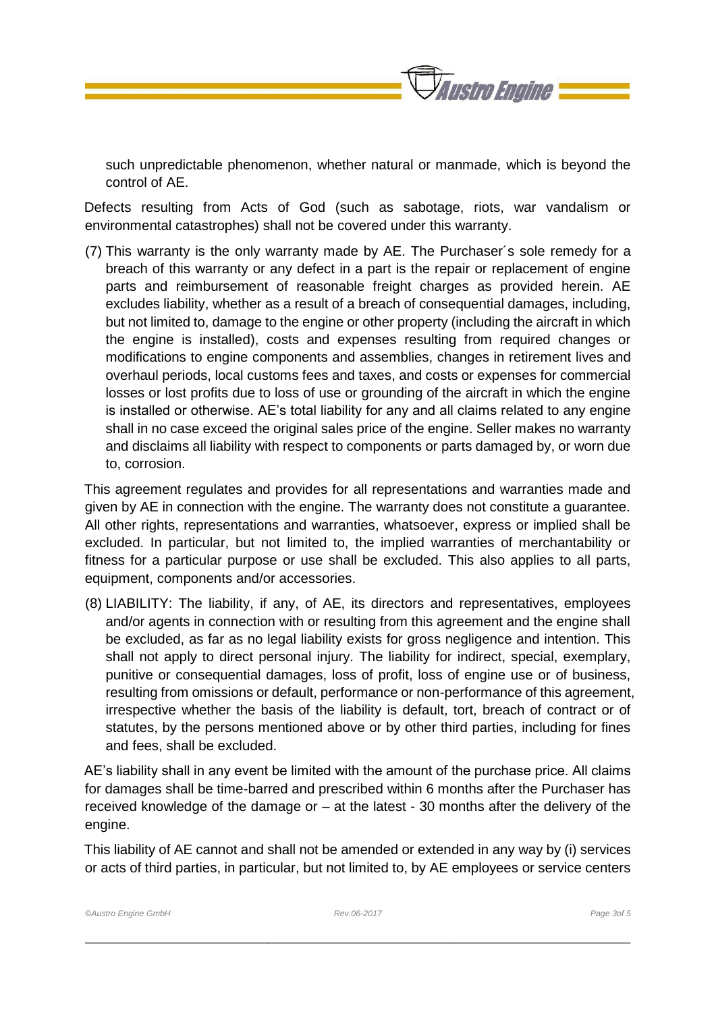*Faustro Engine* 

such unpredictable phenomenon, whether natural or manmade, which is beyond the control of AE.

Defects resulting from Acts of God (such as sabotage, riots, war vandalism or environmental catastrophes) shall not be covered under this warranty.

(7) This warranty is the only warranty made by AE. The Purchaser´s sole remedy for a breach of this warranty or any defect in a part is the repair or replacement of engine parts and reimbursement of reasonable freight charges as provided herein. AE excludes liability, whether as a result of a breach of consequential damages, including, but not limited to, damage to the engine or other property (including the aircraft in which the engine is installed), costs and expenses resulting from required changes or modifications to engine components and assemblies, changes in retirement lives and overhaul periods, local customs fees and taxes, and costs or expenses for commercial losses or lost profits due to loss of use or grounding of the aircraft in which the engine is installed or otherwise. AE's total liability for any and all claims related to any engine shall in no case exceed the original sales price of the engine. Seller makes no warranty and disclaims all liability with respect to components or parts damaged by, or worn due to, corrosion.

This agreement regulates and provides for all representations and warranties made and given by AE in connection with the engine. The warranty does not constitute a guarantee. All other rights, representations and warranties, whatsoever, express or implied shall be excluded. In particular, but not limited to, the implied warranties of merchantability or fitness for a particular purpose or use shall be excluded. This also applies to all parts, equipment, components and/or accessories.

(8) LIABILITY: The liability, if any, of AE, its directors and representatives, employees and/or agents in connection with or resulting from this agreement and the engine shall be excluded, as far as no legal liability exists for gross negligence and intention. This shall not apply to direct personal injury. The liability for indirect, special, exemplary, punitive or consequential damages, loss of profit, loss of engine use or of business, resulting from omissions or default, performance or non-performance of this agreement, irrespective whether the basis of the liability is default, tort, breach of contract or of statutes, by the persons mentioned above or by other third parties, including for fines and fees, shall be excluded.

AE's liability shall in any event be limited with the amount of the purchase price. All claims for damages shall be time-barred and prescribed within 6 months after the Purchaser has received knowledge of the damage or – at the latest - 30 months after the delivery of the engine.

This liability of AE cannot and shall not be amended or extended in any way by (i) services or acts of third parties, in particular, but not limited to, by AE employees or service centers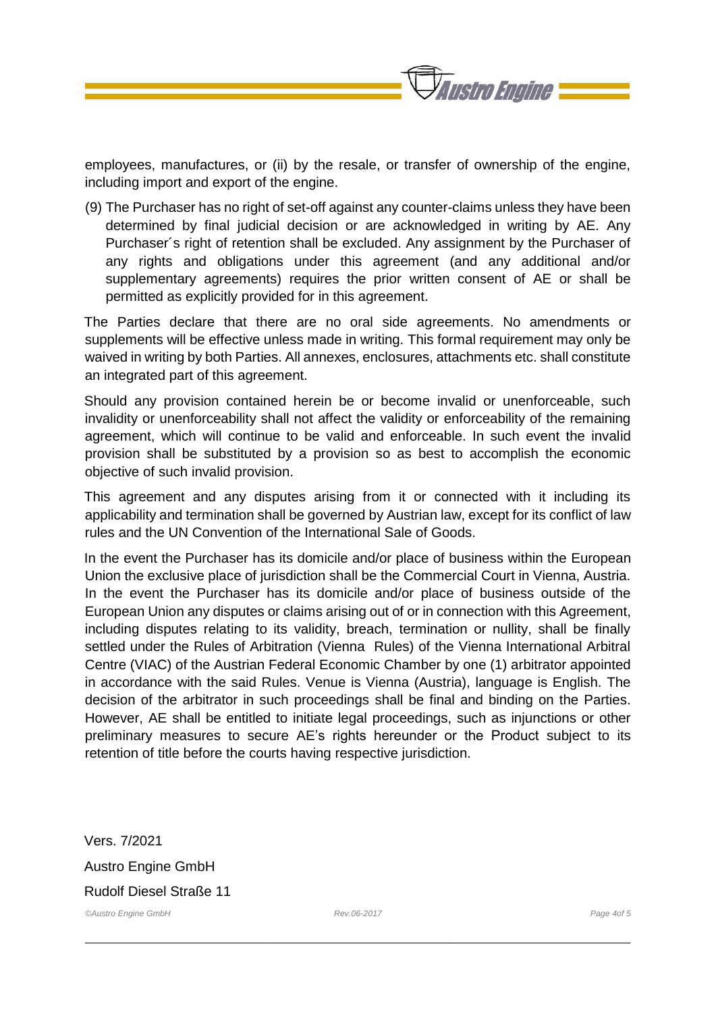

employees, manufactures, or (ii) by the resale, or transfer of ownership of the engine, including import and export of the engine.

(9) The Purchaser has no right of set-off against any counter-claims unless they have been determined by final judicial decision or are acknowledged in writing by AE. Any Purchaser´s right of retention shall be excluded. Any assignment by the Purchaser of any rights and obligations under this agreement (and any additional and/or supplementary agreements) requires the prior written consent of AE or shall be permitted as explicitly provided for in this agreement.

The Parties declare that there are no oral side agreements. No amendments or supplements will be effective unless made in writing. This formal requirement may only be waived in writing by both Parties. All annexes, enclosures, attachments etc. shall constitute an integrated part of this agreement.

Should any provision contained herein be or become invalid or unenforceable, such invalidity or unenforceability shall not affect the validity or enforceability of the remaining agreement, which will continue to be valid and enforceable. In such event the invalid provision shall be substituted by a provision so as best to accomplish the economic objective of such invalid provision.

This agreement and any disputes arising from it or connected with it including its applicability and termination shall be governed by Austrian law, except for its conflict of law rules and the UN Convention of the International Sale of Goods.

In the event the Purchaser has its domicile and/or place of business within the European Union the exclusive place of jurisdiction shall be the Commercial Court in Vienna, Austria. In the event the Purchaser has its domicile and/or place of business outside of the European Union any disputes or claims arising out of or in connection with this Agreement, including disputes relating to its validity, breach, termination or nullity, shall be finally settled under the Rules of Arbitration (Vienna Rules) of the Vienna International Arbitral Centre (VIAC) of the Austrian Federal Economic Chamber by one (1) arbitrator appointed in accordance with the said Rules. Venue is Vienna (Austria), language is English. The decision of the arbitrator in such proceedings shall be final and binding on the Parties. However, AE shall be entitled to initiate legal proceedings, such as injunctions or other preliminary measures to secure AE's rights hereunder or the Product subject to its retention of title before the courts having respective jurisdiction.

*©Austro Engine GmbH Rev.06-2017 Page 4of 5*  Vers. 7/2021 Austro Engine GmbH Rudolf Diesel Straße 11